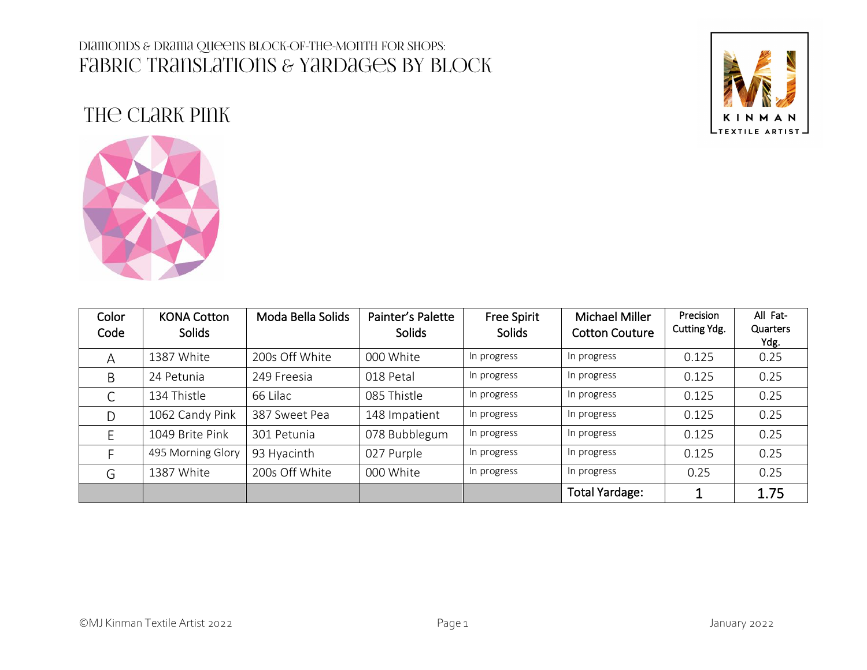

# The Clark Pink



| Color<br>Code | <b>KONA Cotton</b><br><b>Solids</b> | Moda Bella Solids | Painter's Palette<br><b>Solids</b> | <b>Free Spirit</b><br><b>Solids</b> | Michael Miller<br><b>Cotton Couture</b> | Precision<br>Cutting Ydg. | All Fat-<br>Quarters<br>Ydg. |
|---------------|-------------------------------------|-------------------|------------------------------------|-------------------------------------|-----------------------------------------|---------------------------|------------------------------|
| A             | 1387 White                          | 200s Off White    | 000 White                          | In progress                         | In progress                             | 0.125                     | 0.25                         |
| B             | 24 Petunia                          | 249 Freesia       | 018 Petal                          | In progress                         | In progress                             | 0.125                     | 0.25                         |
| ◡             | 134 Thistle                         | 66 Lilac          | 085 Thistle                        | In progress                         | In progress                             | 0.125                     | 0.25                         |
| D             | 1062 Candy Pink                     | 387 Sweet Pea     | 148 Impatient                      | In progress                         | In progress                             | 0.125                     | 0.25                         |
|               | 1049 Brite Pink                     | 301 Petunia       | 078 Bubblegum                      | In progress                         | In progress                             | 0.125                     | 0.25                         |
|               | 495 Morning Glory                   | 93 Hyacinth       | 027 Purple                         | In progress                         | In progress                             | 0.125                     | 0.25                         |
| G             | 1387 White                          | 200s Off White    | 000 White                          | In progress                         | In progress                             | 0.25                      | 0.25                         |
|               |                                     |                   |                                    |                                     | <b>Total Yardage:</b>                   |                           | 1.75                         |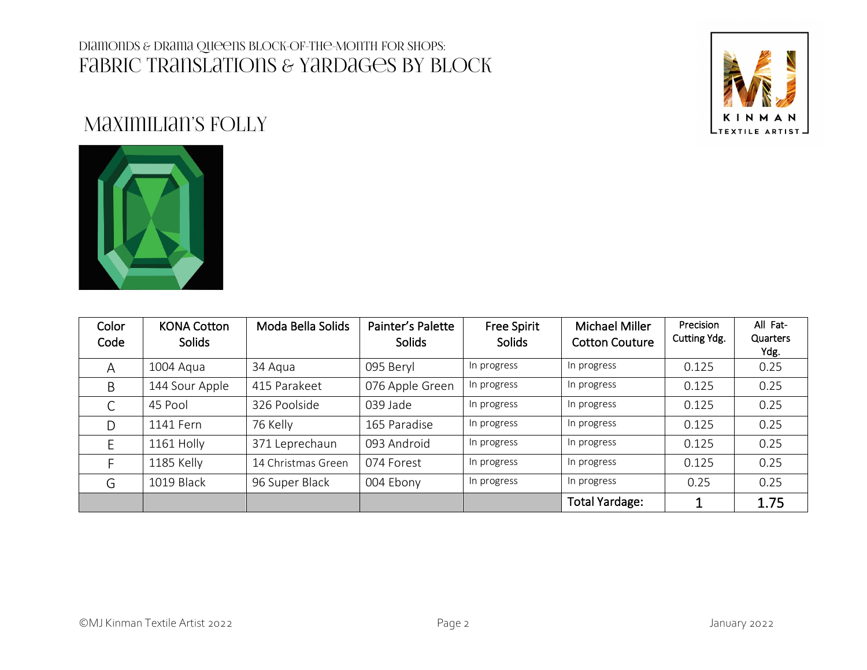

# Maximilian's Folly



| Color<br>Code | <b>KONA Cotton</b><br>Solids | Moda Bella Solids  | Painter's Palette<br><b>Solids</b> | <b>Free Spirit</b><br><b>Solids</b> | Michael Miller<br><b>Cotton Couture</b> | Precision<br>Cutting Ydg. | All Fat-<br>Quarters<br>Ydg. |
|---------------|------------------------------|--------------------|------------------------------------|-------------------------------------|-----------------------------------------|---------------------------|------------------------------|
| A             | 1004 Aqua                    | 34 Agua            | 095 Beryl                          | In progress                         | In progress                             | 0.125                     | 0.25                         |
| B             | 144 Sour Apple               | 415 Parakeet       | 076 Apple Green                    | In progress                         | In progress                             | 0.125                     | 0.25                         |
| C             | 45 Pool                      | 326 Poolside       | 039 Jade                           | In progress                         | In progress                             | 0.125                     | 0.25                         |
| D             | 1141 Fern                    | 76 Kelly           | 165 Paradise                       | In progress                         | In progress                             | 0.125                     | 0.25                         |
|               | 1161 Holly                   | 371 Leprechaun     | 093 Android                        | In progress                         | In progress                             | 0.125                     | 0.25                         |
|               | 1185 Kelly                   | 14 Christmas Green | 074 Forest                         | In progress                         | In progress                             | 0.125                     | 0.25                         |
| G             | 1019 Black                   | 96 Super Black     | 004 Ebony                          | In progress                         | In progress                             | 0.25                      | 0.25                         |
|               |                              |                    |                                    |                                     | <b>Total Yardage:</b>                   |                           | 1.75                         |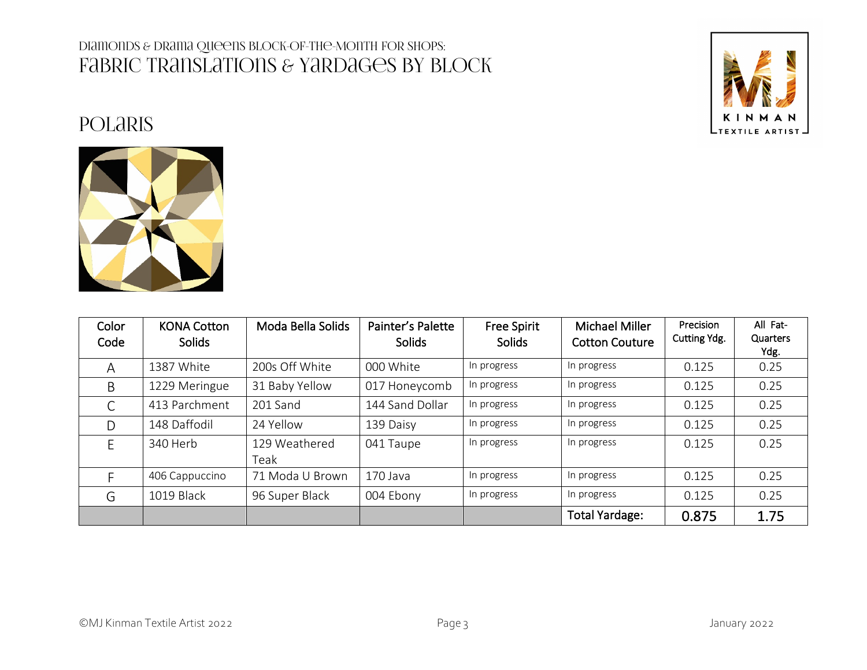## **POLARIS**



| Color<br>Code | <b>KONA Cotton</b><br><b>Solids</b> | Moda Bella Solids     | Painter's Palette<br><b>Solids</b> | <b>Free Spirit</b><br><b>Solids</b> | Michael Miller<br><b>Cotton Couture</b> | Precision<br>Cutting Ydg. | All Fat-<br>Quarters<br>Ydg. |
|---------------|-------------------------------------|-----------------------|------------------------------------|-------------------------------------|-----------------------------------------|---------------------------|------------------------------|
| Α             | 1387 White                          | 200s Off White        | 000 White                          | In progress                         | In progress                             | 0.125                     | 0.25                         |
| B             | 1229 Meringue                       | 31 Baby Yellow        | 017 Honeycomb                      | In progress                         | In progress                             | 0.125                     | 0.25                         |
| C             | 413 Parchment                       | 201 Sand              | 144 Sand Dollar                    | In progress                         | In progress                             | 0.125                     | 0.25                         |
| D             | 148 Daffodil                        | 24 Yellow             | 139 Daisy                          | In progress                         | In progress                             | 0.125                     | 0.25                         |
| E             | 340 Herb                            | 129 Weathered<br>Teak | 041 Taupe                          | In progress                         | In progress                             | 0.125                     | 0.25                         |
|               | 406 Cappuccino                      | 71 Moda U Brown       | 170 Java                           | In progress                         | In progress                             | 0.125                     | 0.25                         |
| G             | 1019 Black                          | 96 Super Black        | 004 Ebony                          | In progress                         | In progress                             | 0.125                     | 0.25                         |
|               |                                     |                       |                                    |                                     | <b>Total Yardage:</b>                   | 0.875                     | 1.75                         |

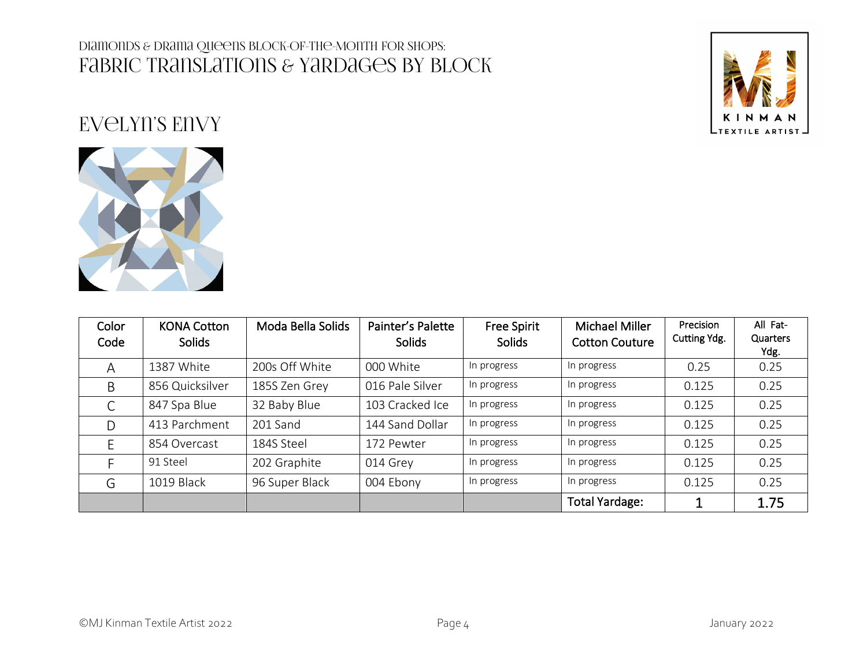

# Evelyn's Envy



| Color<br>Code | <b>KONA Cotton</b><br>Solids | Moda Bella Solids | Painter's Palette<br>Solids | <b>Free Spirit</b><br><b>Solids</b> | Michael Miller<br><b>Cotton Couture</b> | Precision<br>Cutting Ydg. | All Fat-<br>Quarters<br>Ydg. |
|---------------|------------------------------|-------------------|-----------------------------|-------------------------------------|-----------------------------------------|---------------------------|------------------------------|
| Α             | 1387 White                   | 200s Off White    | 000 White                   | In progress                         | In progress                             | 0.25                      | 0.25                         |
| B             | 856 Quicksilver              | 185S Zen Grey     | 016 Pale Silver             | In progress                         | In progress                             | 0.125                     | 0.25                         |
| C             | 847 Spa Blue                 | 32 Baby Blue      | 103 Cracked Ice             | In progress                         | In progress                             | 0.125                     | 0.25                         |
| D             | 413 Parchment                | 201 Sand          | 144 Sand Dollar             | In progress                         | In progress                             | 0.125                     | 0.25                         |
|               | 854 Overcast                 | 184S Steel        | 172 Pewter                  | In progress                         | In progress                             | 0.125                     | 0.25                         |
|               | 91 Steel                     | 202 Graphite      | 014 Grey                    | In progress                         | In progress                             | 0.125                     | 0.25                         |
| G             | 1019 Black                   | 96 Super Black    | 004 Ebony                   | In progress                         | In progress                             | 0.125                     | 0.25                         |
|               |                              |                   |                             |                                     | <b>Total Yardage:</b>                   |                           | 1.75                         |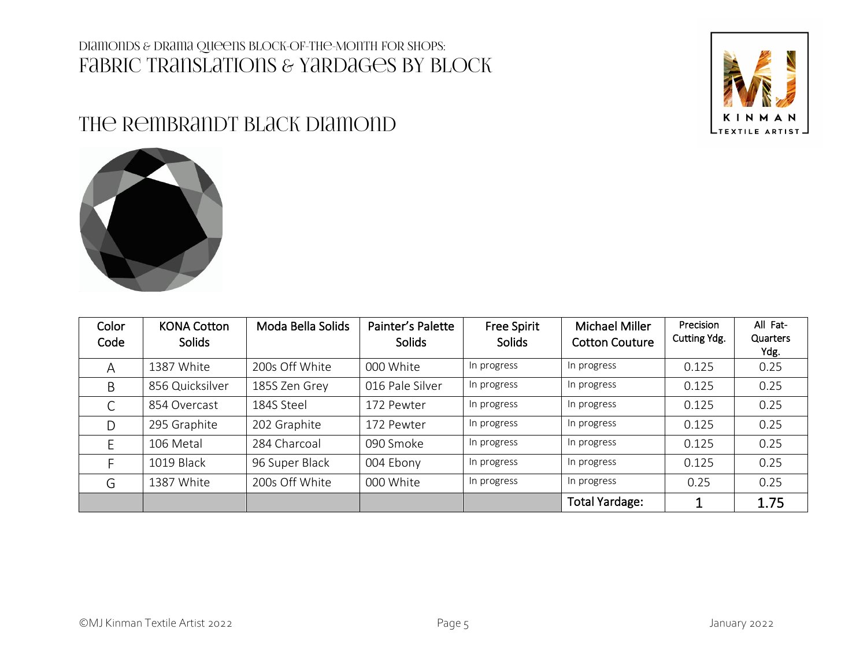### THE REMBRANDT BLACK DIAMOND





| Color<br>Code | <b>KONA Cotton</b><br><b>Solids</b> | Moda Bella Solids | Painter's Palette<br><b>Solids</b> | <b>Free Spirit</b><br><b>Solids</b> | Michael Miller<br><b>Cotton Couture</b> | Precision<br>Cutting Ydg. | All Fat-<br>Quarters<br>Ydg. |
|---------------|-------------------------------------|-------------------|------------------------------------|-------------------------------------|-----------------------------------------|---------------------------|------------------------------|
| A             | 1387 White                          | 200s Off White    | 000 White                          | In progress                         | In progress                             | 0.125                     | 0.25                         |
| B             | 856 Quicksilver                     | 185S Zen Grey     | 016 Pale Silver                    | In progress                         | In progress                             | 0.125                     | 0.25                         |
|               | 854 Overcast                        | 184S Steel        | 172 Pewter                         | In progress                         | In progress                             | 0.125                     | 0.25                         |
| D             | 295 Graphite                        | 202 Graphite      | 172 Pewter                         | In progress                         | In progress                             | 0.125                     | 0.25                         |
|               | 106 Metal                           | 284 Charcoal      | 090 Smoke                          | In progress                         | In progress                             | 0.125                     | 0.25                         |
|               | 1019 Black                          | 96 Super Black    | 004 Ebony                          | In progress                         | In progress                             | 0.125                     | 0.25                         |
| G             | 1387 White                          | 200s Off White    | 000 White                          | In progress                         | In progress                             | 0.25                      | 0.25                         |
|               |                                     |                   |                                    |                                     | <b>Total Yardage:</b>                   |                           | 1.75                         |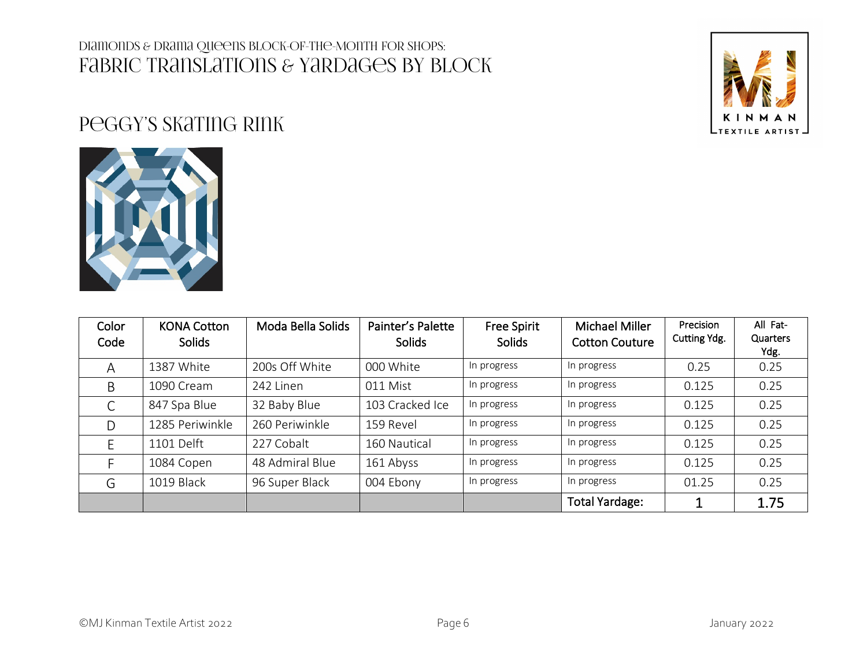

## Peggy's Skating Rink



| Color<br>Code | <b>KONA Cotton</b><br>Solids | Moda Bella Solids | Painter's Palette<br><b>Solids</b> | <b>Free Spirit</b><br><b>Solids</b> | Michael Miller<br><b>Cotton Couture</b> | Precision<br>Cutting Ydg. | All Fat-<br>Quarters<br>Ydg. |
|---------------|------------------------------|-------------------|------------------------------------|-------------------------------------|-----------------------------------------|---------------------------|------------------------------|
| A             | 1387 White                   | 200s Off White    | 000 White                          | In progress                         | In progress                             | 0.25                      | 0.25                         |
| B             | 1090 Cream                   | 242 Linen         | 011 Mist                           | In progress                         | In progress                             | 0.125                     | 0.25                         |
| C             | 847 Spa Blue                 | 32 Baby Blue      | 103 Cracked Ice                    | In progress                         | In progress                             | 0.125                     | 0.25                         |
| D             | 1285 Periwinkle              | 260 Periwinkle    | 159 Revel                          | In progress                         | In progress                             | 0.125                     | 0.25                         |
|               | 1101 Delft                   | 227 Cobalt        | 160 Nautical                       | In progress                         | In progress                             | 0.125                     | 0.25                         |
|               | 1084 Copen                   | 48 Admiral Blue   | 161 Abyss                          | In progress                         | In progress                             | 0.125                     | 0.25                         |
| G             | 1019 Black                   | 96 Super Black    | 004 Ebony                          | In progress                         | In progress                             | 01.25                     | 0.25                         |
|               |                              |                   |                                    |                                     | <b>Total Yardage:</b>                   |                           | 1.75                         |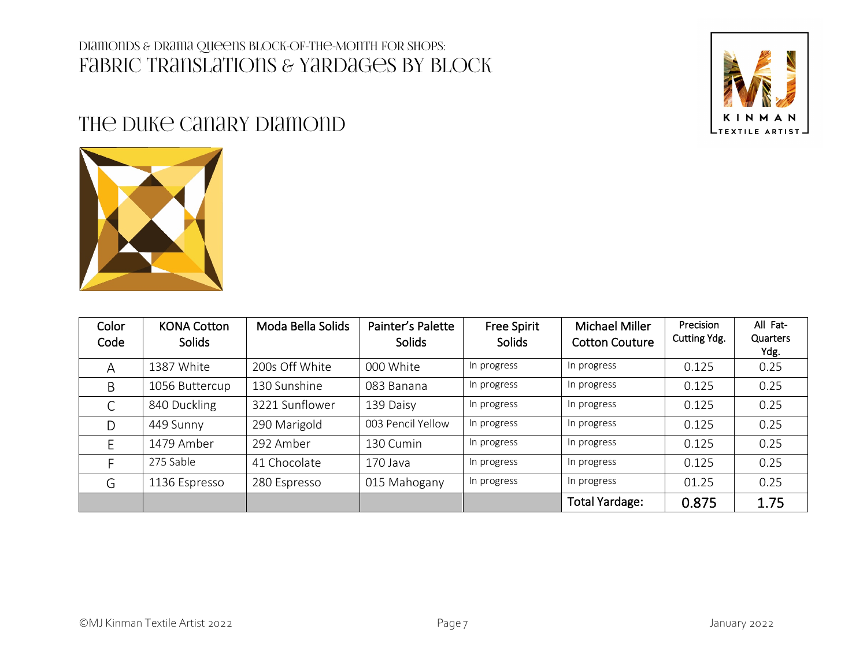

### THE DUKE CANARY DIAMOND



| Color<br>Code | <b>KONA Cotton</b><br>Solids | Moda Bella Solids | Painter's Palette<br>Solids | <b>Free Spirit</b><br><b>Solids</b> | Michael Miller<br><b>Cotton Couture</b> | Precision<br>Cutting Ydg. | All Fat-<br>Quarters<br>Ydg. |
|---------------|------------------------------|-------------------|-----------------------------|-------------------------------------|-----------------------------------------|---------------------------|------------------------------|
| Α             | 1387 White                   | 200s Off White    | 000 White                   | In progress                         | In progress                             | 0.125                     | 0.25                         |
| B             | 1056 Buttercup               | 130 Sunshine      | 083 Banana                  | In progress                         | In progress                             | 0.125                     | 0.25                         |
| $\subset$     | 840 Duckling                 | 3221 Sunflower    | 139 Daisy                   | In progress                         | In progress                             | 0.125                     | 0.25                         |
| D             | 449 Sunny                    | 290 Marigold      | 003 Pencil Yellow           | In progress                         | In progress                             | 0.125                     | 0.25                         |
|               | 1479 Amber                   | 292 Amber         | 130 Cumin                   | In progress                         | In progress                             | 0.125                     | 0.25                         |
|               | 275 Sable                    | 41 Chocolate      | 170 Java                    | In progress                         | In progress                             | 0.125                     | 0.25                         |
| G             | 1136 Espresso                | 280 Espresso      | 015 Mahogany                | In progress                         | In progress                             | 01.25                     | 0.25                         |
|               |                              |                   |                             |                                     | <b>Total Yardage:</b>                   | 0.875                     | 1.75                         |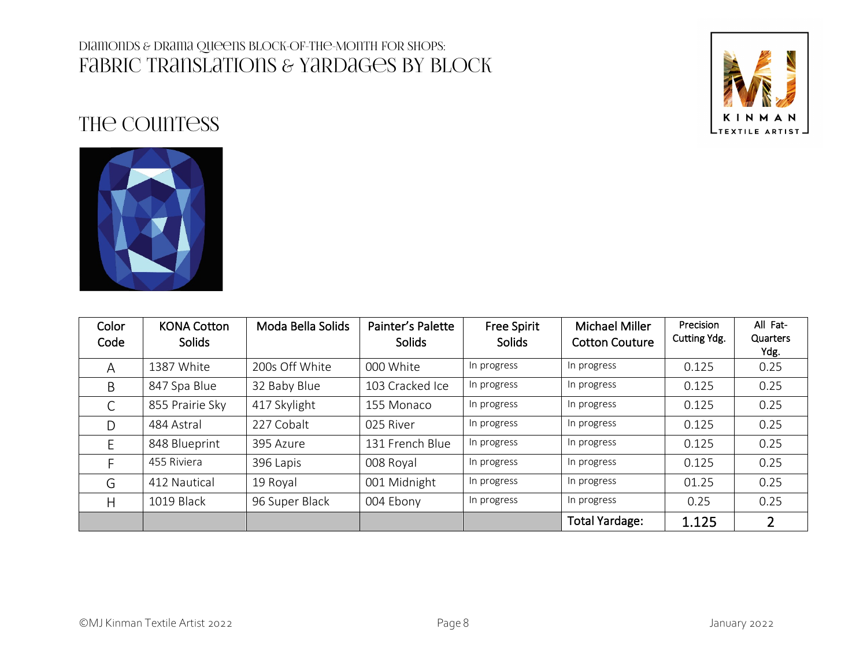

# THE COUNTESS



| Color<br>Code | <b>KONA Cotton</b><br><b>Solids</b> | Moda Bella Solids | Painter's Palette<br><b>Solids</b> | <b>Free Spirit</b><br><b>Solids</b> | Michael Miller<br><b>Cotton Couture</b> | Precision<br>Cutting Ydg. | All Fat-<br>Quarters<br>Ydg. |
|---------------|-------------------------------------|-------------------|------------------------------------|-------------------------------------|-----------------------------------------|---------------------------|------------------------------|
| A             | 1387 White                          | 200s Off White    | 000 White                          | In progress                         | In progress                             | 0.125                     | 0.25                         |
| B             | 847 Spa Blue                        | 32 Baby Blue      | 103 Cracked Ice                    | In progress                         | In progress                             | 0.125                     | 0.25                         |
| C             | 855 Prairie Sky                     | 417 Skylight      | 155 Monaco                         | In progress                         | In progress                             | 0.125                     | 0.25                         |
| D             | 484 Astral                          | 227 Cobalt        | 025 River                          | In progress                         | In progress                             | 0.125                     | 0.25                         |
| E             | 848 Blueprint                       | 395 Azure         | 131 French Blue                    | In progress                         | In progress                             | 0.125                     | 0.25                         |
|               | 455 Riviera                         | 396 Lapis         | 008 Royal                          | In progress                         | In progress                             | 0.125                     | 0.25                         |
| G             | 412 Nautical                        | 19 Royal          | 001 Midnight                       | In progress                         | In progress                             | 01.25                     | 0.25                         |
| Н             | 1019 Black                          | 96 Super Black    | 004 Ebony                          | In progress                         | In progress                             | 0.25                      | 0.25                         |
|               |                                     |                   |                                    |                                     | <b>Total Yardage:</b>                   | 1.125                     | $\overline{2}$               |